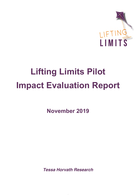

# Lifting Limits Pilot Impact Evaluation Report

November 2019

Tessa Horvath Research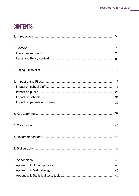# **CONTENTS**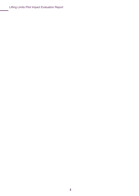Lifting Limits Pilot Impact Evaluation Report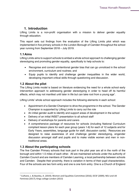# 1. Introduction

Lifting Limits is a non-profit organisation with a mission to deliver gender equality through education.

This report sets out findings from the evaluation of the Lifting Limits pilot which was implemented in five primary schools in the London Borough of Camden throughout the school year running from September 2018 – July 2019.

# 1.1Aims

Lifting Limits aims to support schools to embed a whole school approach to challenging gender stereotyping and promoting gender equality, specifically to help schools to:

- Recognise and correct unintentional gender bias that can go unnoticed in the school environment, curriculum and routines; and
- Equip pupils to identify and challenge gender inequalities in the wider world, developing important critical skills through questioning and discussion.

# 1.2 About the pilot

The Lifting Limits model is based on literature evidencing the need for a whole school early intervention approach to addressing gender stereotyping in order to head off its harmful effects, which may not manifest until later in life but can take root from a young age<sup>1</sup>.

Lifting Limits' whole school approach includes the following elements in each school:

- Appointment of a Gender Champion to drive the programme in the school. The Gender Champion is supported by Lifting Limits to carry out the role
- An initial gender audit to identify and support areas of development in the school
- Delivery of an initial INSET presentation to all school staff
- Delivery of workshops for parents and carers
- A comprehensive package of resources for schools (including National Curriculum compliant lesson plans for each year group (years 1-6) for each of 12 subjects and for Early Years, assemblies, language guide for staff, discussion cards). Resources are designed to raise awareness of and challenge gender stereotyping, engender discussion amongst staff and pupils and to make visible women and men in nontraditional areas.

# 1.3 About the participating schools

The five Camden Primary schools that took part in the pilot year are all in the north of the borough and within 1.5 miles of each other. All are maintained schools under the authority of Camden Council and are members of Camden Learning, a local partnership between schools and Camden. Despite their proximity, there is variation in terms of their pupil characteristics. Four of the schools are two form entry and one is one form entry. One is a Church of England

 $1$  Culhane, L. & Bazeley, A. (2019); Women and Equalities Committee (2016); DCSF (2009); NEU and UK Feminsta (2017); Kings college London (2013)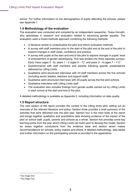Lifting Limits Pilot Impact Evaluation Report

school. For further information on the demographics of pupils attending the schools, please see Appendix 1.

# 1.4 Methodology of the evaluation

The evaluation was conducted and compiled by an independent researcher, Tessa Horvath, who specialises in research and evaluation related to advancing gender equality. The evaluation used a mixed methods approach combining the following methods:

- A literature review to contextualise the pilot and inform evaluation methods
- A survey with staff members prior to the start of the pilot and at the end of the pilot to explore changes in staff views, confidence and practice
- A survey with pupils at the start and end of the pilot to explore changes in pupils' level of endorsement of gender stereotyping. This was divided into three separate surveys: Early Years (ages 3 - 5); years  $1 - 2$  (ages  $5 - 7)^2$ ; and years  $3 - 6$  (ages  $7 - 11)^3$
- Questionnaires with staff members and parents following specific presentations delivered by Lifting Limits
- Qualitative semi-structured interviews with 23 staff members across the five schools (including senior leaders, teachers and support staff)
- Qualitative semi-structured interviews with 20 pupils across the five pilot schools
- Qualitative interviews with Lifting Limits staff
- The evaluation also includes findings from gender audits carried out by Lifting Limits in each school at the start and end of the pilot.

A detailed methodology is available as Appendix 2, including information on data quality.

# 1.5 Report structure

The next section of the report provides the context to the Lifting limits pilot, setting out an overview of the relevant literature and policy. Section three provides a brief summary of the activities that were delivered over the pilot year. Section four is the main body of the report and brings together qualitative and quantitative data showing evidence of the impact of the pilot on school staff, pupils, parents and schools as a whole. Section five provides some key learning points from the year which Lifting Limits can build upon to develop the model. Section six draws together conclusions from the evidence base and section seven makes recommendations for schools, policy makers and others. A detailed methodology, data tables and further information on the participating schools is provided in the appendices.

 <sup>2</sup> Key Stage One

<sup>&</sup>lt;sup>3</sup> Key Stage Two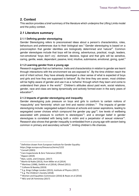# 2. Context

This section provides a brief summary of the literature which underpins the Lifting Limits model and the policy context.

# 2.1 Literature summary

# 2.1.1 Defining gender stereotyping

Gender Stereotyping refers to preconceived ideas about a person's characteristics, roles, behaviours and preferences due to their biological sex. <sup>4</sup> Gender stereotyping is based on a preconception that gender identities are biologically determined and 'natural'<sup>5</sup>. Common gender stereotypes include that boys will be strong, adventurous, practical, rough, leaders, non-emotional 'boys don't cry', dominant, decisive, logical and that girls will be sensitive, caring, gentle, weak, dependant, passive, kind, intuitive, submissive, emotional, giving, quiet.<sup>6</sup>

# 2.1.2 Learning gender from a young age

Research suggests that our behaviour, traits and characteristics in relation to gender are learnt through interactions with the environment we are exposed to<sup>7</sup>. By the time children reach the end of infant school, they have already developed a clear sense of what is expected of boys and girls and how they are supposed to behave<sup>8</sup>. By the time they are seven, most children will be highly aware of gender and use it as a 'schema' through which they learn and come to understand their place in the world.<sup>9</sup> Children's attitudes about paid work, social relations, gender, race and class are being dynamically and actively formed even in the early years of  $e$ ducation<sup>10</sup>.

# 2.1.3 Impacts of gender stereotyping and inequality

Gender stereotyping puts pressure on boys and girls to conform to certain notions of 'masculinity' and 'femininity' which can limit and restrict children.<sup>11</sup> The impacts of gender stereotyping include: segregated subject choices at schools and career aspirations, leading to segregated career choices which compound the gender pay gap<sup>12</sup>; low levels of wellbeing associated with pressure to conform to stereotypes<sup>13</sup>; and a stronger belief in gender stereotypes is correlated with being both a victim and a perpetrator of sexual violence<sup>14</sup>. Research also shows that gender inequality is embedded from a young age with sexism being common in primary and secondary schools<sup>15</sup>, limiting children's life chances.

 <sup>4</sup> Definition drawn from European Institute for Gender Equality:

https://eige.europa.eu/thesaurus/terms/1222

<sup>5</sup> Connell (2003)

<sup>6</sup> Care Inspectorate & Zero Tolerance (2018)

 $<sup>7</sup>$  Rippon (2019)</sup>

<sup>8</sup> Bian, Leslie, and Cimpian, (2017)

<sup>9</sup> Martin & Ruble (2013), from Miller et al (2014)

<sup>10</sup> Martinez (1998), DeWitt et al (2014), Ofsted (2011)

<sup>11</sup> Culhane & Bazeley (2019)

<sup>&</sup>lt;sup>12</sup> E.g. Kings College London (2013), Institute of Physics (2017)<br><sup>13</sup> E.g. The Children's Society (2018)

<sup>14</sup> Women and Equalities Commission (2016) & Reyes et al (2016)

<sup>15</sup> NEU and UK Feminista (2017)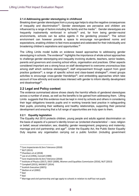## 2.1.4 Addressing gender stereotyping in childhood

Breaking down gender stereotypes from a young age helps to stop the negative consequences of inequality and discrimination<sup>16</sup>. Gender stereotypes are pervasive and children are influenced by a range of factors including the family and the media<sup>17</sup>. Gender stereotypes are frequently inadvertently reinforced in schools<sup>18</sup> and, far from being gender-neutral environments, schools can be active agents in the gendering process<sup>19</sup>. The school environment can however provide a space to encourage non-gendered norms and expectations, enabling children to feel more accepted and celebrated for their individuality and broadening children's aspirations and opportunities.<sup>20</sup>

The Lifting Limits model builds on evidence based approaches to addressing gender stereotyping in schools. The evidence<sup>21</sup> highlights the importance of whole school approaches to challenge gender stereotyping and inequality involving students, teachers, senior leaders, parents and governors and covering school ethos, organisation and practices. Other aspects considered important are a strong focus on staff development to overcome unconscious bias among staff which reinforce stereotypes<sup>22</sup>; staff empowerment through support from good practice guidance<sup>23</sup>; a range of specific school and class-based strategies<sup>24</sup>; mixed groups activities to encourage cross-gender friendships<sup>25</sup>; and embedding approaches which take account of how ethnicity and social class intersect with gender to inform identity development and disadvantage<sup>26</sup>.

# 2.2 Legal and Policy context

The evidence summarised above shows clearly the harmful effects of gendered stereotypes across a number of areas, as well as the benefits to be gained from addressing them. Lifting Limits suggests that this evidence must be kept in mind by schools and others in considering their legal obligations towards pupils and in working towards best practice in safeguarding their pupils, promoting their wellbeing and healthy relationships, supporting their personal development and ensuring that a full range of opportunities are truly open to them.

#### 2.2.1 Equality legislation

The Equality Act 2010 protects children, young people and adults against discrimination on the basis of aspects of a person's identity known as 'protected characteristics' – race; religion or belief; sexual orientation; sex; disability; gender reassignment; pregnancy and maternity; marriage and civil partnership; and  $aq e^{27}$ . Under the Equality Act, the Public Sector Equality Duty requires any organisation carrying out a public function (including government

 <sup>16</sup> Care Inspectorate & Zero Tolerance (2018)

 $17$  NUT (2013)

<sup>18</sup> Chambers et al (2018)

<sup>19</sup> Lee et al (1994), Connell (1989)

<sup>20</sup> Care Inspectorate & Zero Tolerance (2018)

<sup>&</sup>lt;sup>21</sup> Institute of Physics (2017), DSCF (2009), Women and Equalities Commission (2016), NUT (2013)

<sup>22</sup> Campbell (2015), NASWUT (2014)

<sup>23</sup> Scottish Executive (2007))

<sup>24</sup> Skelton et al (2002)

 $25$  Ibid

 $26$  Ibid

<sup>&</sup>lt;sup>27</sup> Marriage and civil partnership and age apply to schools in relation to staff but not pupils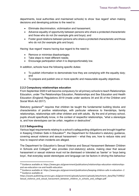departments, local authorities and maintained schools) to show 'due regard' when making decisions and developing policies to the need to:

- Eliminate discrimination, victimisation and harassment;
- Advance equality of opportunity between persons who share a protected characteristic and those who do not (for example girls and boys); and
- Foster good relations between persons who share a protected characteristic and those who do not (for example girls and boys).

Having 'due regard' means having due regard to the need to:

- Remove or minimise disadvantages;
- Take steps to meet different needs;
- Encourage participation when it is disproportionately low.

In addition, schools have the following specific duties:

- To publish information to demonstrate how they are complying with the equality duty; and
- To prepare and publish one or more specific and measurable equality objectives.

# 2.2.2 Compulsory relationships education

From September 2020 it will become compulsory for all primary schools to teach Relationships Education, under The Relationships Education, Relationships and Sex Education and Health Education (England) Regulations 2019 (made under sections 34 and 35 of the Children and Social Work Act 2017).

Statutory guidance<sup>28</sup> requires that children be taught the fundamental building blocks and characteristics of positive relationships, with particular reference to friendships, family relationships, relationships with other children and with adults. By the end of primary school, pupils should specifically know, in the context of respectful relationships, "what a stereotype is, and how stereotypes can be unfair, negative or destructive".

## 2.2.3 Safeguarding

Various legal requirements relating to a school's safeguarding obligations are brought together in Keeping Children Safe in Education<sup>29</sup>, the Department for Education's statutory guidance, covering sexual violence and sexual harassment – what they are, how to reduce risks and how to respond when incidents are alleged.

The Department for Education's Sexual Violence and Sexual Harassment Between Children in Schools and Colleges $30$  also provides (non-statutory) advice, making clear that sexual harassment or sexual violence must not be dismissed or tolerated as 'banter' or 'boys being boys', that everyday sexist stereotypes and language can be factors in driving this behaviour

<sup>&</sup>lt;sup>28</sup> Guidance available at: https://www.gov.uk/government/publications/relationships-education-relationshipsand-sex-education-rse-and-health-education

<sup>29</sup> Guidance available at: https://www.gov.uk/government/publications/keeping-children-safe-in-education--2 <sup>30</sup> Guidance available at:

https://assets.publishing.service.gov.uk/government/uploads/system/uploads/attachment\_data/file/719902/ Sexual violence and sexual harassment between children in schools and colleges.pdf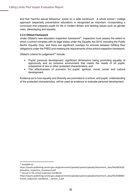and that 'harmful sexual behaviour' exists on a wide continuum. A whole school / college approach (especially preventative education) is recognised as important, incorporating a curriculum that prepares pupils for life in modern Britain and tackling issues such as gender roles, stereotyping and equality.

# 2.2.4 Ofsted framework

Under Ofsted's new education inspection framework $31$ , inspectors must assess the extent to which a school complies with its legal duties under the Equality Act 2010, including the Public Sector Equality Duty, and there are significant overlaps for schools between fulfilling their obligations under the PSED and meeting the requirements of the school inspection framework.

Ofsted's criteria for judgement $32$  include:

- Pupils' personal development, significant dimensions being promoting equality of opportunity and an inclusive environment that meets the needs of all pupils, irrespective of sex or other protected characteristics; and
- The effectiveness of provision for pupils' spiritual, moral, social and cultural development.

Evidence as to how equality and diversity are promoted in a school, and pupils' understanding of the protected characteristics, will be used as evidence to evaluate personal development.

 <sup>31</sup> Available at:

https://assets.publishing.service.gov.uk/government/uploads/system/uploads/attachment\_data/file/801429/ Education\_inspection\_framework.pdf

<sup>&</sup>lt;sup>32</sup> set out in the school inspection handbook

https://assets.publishing.service.gov.uk/government/uploads/system/uploads/attachment\_data/file/828469/ School inspection handbook - section 5.pdf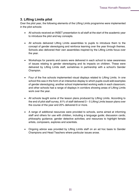# 3. Lifting Limits pilot

Over the pilot year, the following elements of the Lifting Limits programme were implemented in the pilot schools:

- All schools received an INSET presentation to all staff at the start of the academic year to introduce the pilot and key concepts.
- All schools delivered Lifting Limits assemblies to pupils to introduce them to the concept of gender stereotyping and reinforce learning over the year through themes. Schools also delivered their own assemblies inspired by the Lifting Limits focus over the year.
- Workshops for parents and carers were delivered in each school to raise awareness of issues relating to gender stereotyping and its impacts on children. These were delivered by Lifting Limits staff, sometimes in partnership with a school's Gender Champion.
- Four of the five schools implemented visual displays related to Lifting Limits. In one school this was in the form of an interactive display to which pupils could add examples of gender stereotyping; another school implemented working walls in each classroom; and other schools had a range of displays in corridors showing areas of Lifting Limits work over the year.
- All schools taught some of the lesson plans produced by Lifting Limits. According to the end of pilot staff survey, 61% of staff delivered 3 – 5 Lifting Limits lesson plans over the course of the year and 20% delivered 6 or more.
- A range of additional resources were provided to schools, some aimed at informing staff and others for use with children, including a language guide; discussion cards; philosophy guidance; gender detective activities; and resources to highlight female artists, composers, explores and scientists.
- Ongoing advice was provided by Lifting Limits staff on an ad hoc basis to Gender Champions and Head Teachers where particular issues arose.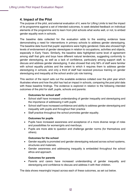# 4. Impact of the Pilot

The purpose of the pilot, and external evaluation of it, were for Lifting Limits to test the impact of its programme against a set of intended outcomes, to seek detailed feedback on individual elements of the programme and to learn from pilot schools what works well, or not, to embed gender equality work in schools.

The baseline data collected for the evaluation adds to the existing evidence base demonstrating a need for interventions in primary schools to address gender stereotyping. The baseline data found that pupils' aspirations were highly gendered. Data also showed high levels of endorsement of gender stereotypes in relation to occupations, activities and objects, especially in Early Years. Similarly, the baseline data highlighted some level of agreement among staff that girls and boys have different natural tendencies, suggesting conformity to gender stereotyping, as well as a lack of confidence, particularly among support staff, to discuss and address gender stereotyping. It also showed that only 56% of staff were familiar with school equality policies and the extent to which it requires them to address gender stereotyping in schools, and only a third of staff had received previous training on gender stereotyping and inequality at the school and/or job role training.

This section of the report sets out the available evidence collated over the pilot year which illustrates where and how the pilot has had an impact in schools, comparing the post pilot data with these baseline findings. The evidence is explored in relation to the following intended outcomes of the pilot for staff, pupils, schools and parents:

# Outcomes for school staff

- School staff have increased understanding of gender inequality and stereotyping and the importance of addressing it with pupils
- School staff have increased confidence and ability to address gender stereotyping and inequality with pupils and throughout their practice
- Staff practice throughout the school promotes gender equality.

## Outcomes for pupils

- Pupils have increased awareness and acceptance of a more diverse range of roles and possibilities for women/girls and men/boys.
- Pupils are more able to question and challenge gender norms (for themselves and others).

## Outcomes for the school

- Gender equality is promoted and gender stereotyping reduced across school systems, structures and materials.
- Gender awareness and addressing inequality is embedded throughout the school ethos and approach.

## Outcomes for parents

 Parents and carers have increased understanding of gender inequality and stereotyping and confidence to discuss and address it with their children.

The data shows meaningful impact across each of these outcomes, as set out below.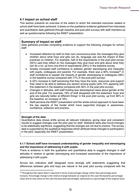# 4.1 Impact on school staff

This section presents an overview of the extent to which the intended outcomes related to school staff have been achieved. It draws on the qualitative evidence gathered from interviews and quantitative data gathered through baseline and post pilot surveys with staff members as well as questionnaires following the INSET presentation.

# Summary of impact on staff

Data gathered provides compelling evidence to support the following changes for school staff:

- Increased reflection by staff on their own unconscious bias, the messages they give children about what boys and girls can do, language use and the impact of their practices on children. For example, half of the respondents in the post pilot survey (50%) said they reflect on the messages they give boys and girls about what they can do a lot, up from one third of respondents (29%) in the baseline survey.
- Greatly increased staff confidence to address gender stereotyping and inequality with pupils, colleagues and parents. For example, there was a  $60\%$  increase<sup>33</sup> in staff confidence to explain the impacts of gender stereotyping to colleagues (48% in the baseline survey compared with 77% in the post pilot survey).
- A 22% increase in staff perceiving that they have the tools, resources and support they need to be able to address any sexism among pupils (with 74% agreeing with this statement in the baseline compared with 90% in the post pilot survey).
- Changes in attitudes, with staff holding less stereotypical views about gender at the end of the pilot. For example, 78% of staff disagreed with the statement 'boys and girls are naturally better at different things' in the post pilot survey, up from 66% in the baseline, an increase of 18%.
- Staff perceive the INSET presentation and the whole school approach to have been the key aspects of the model which have supported changes in awareness, confidence, reflection and practice.

# Strength of the data

Quantitative data shows shifts across all relevant indicators, giving clear and consistent results to suggest changes over the pilot year for staff. Statistical tests also found changes to be statistically significant, suggesting that the changes are not due to chance. The survey data is supported by the qualitative responses which attribute these changes to participation in the pilot, especially the INSET presentation.

# 4.1.1 School staff have increased understanding of gender inequality and stereotyping and the importance of addressing it with pupils.

There is evidence in both the qualitative and quantitative data to suggest changes in staff attitudes in relation to gender stereotyping and increased awareness of the importance of addressing it with pupils.

Across two indicators staff disagreed more strongly with statements suggesting that differences between girls and boys are natural in the post pilot survey compared with the

 $33$  Throughout the report data is reported in terms of percentage change rather than percentage point increase. Percentage change is the relative change between an original (in this case the baseline percentage) value and its new value (in this case the post pilot percentage), expressed as a percentage of the original value.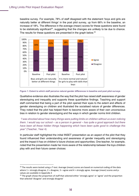baseline survey. For example, 78% of staff disagreed with the statement 'boys and girls are naturally better at different things' in the post pilot survey, up from 66% in the baseline, an increase of 18%. The difference in the average (mean) scores for these questions were found to be statistically significant $34$ , suggesting that the changes are unlikely to be due to chance. The results for these questions are presented in the graph below.<sup>35</sup>



#### Figure 1: Extent to which staff perceive natural gender differences in baseline and post pilot surveys

Qualitative evidence also illustrates the way that the pilot has raised staff awareness of gender stereotyping and inequality and supports these quantitative findings. Teaching and support staff commented that being a part of the pilot opened their eyes to the extent and effects of gender stereotyping on children and illustrated the socialised nature of gender differences. They noted that the pilot has helped them to become more aware of their own unconscious bias in relation to gender stereotyping and the ways in which gender norms limit children.

"I was shocked about how many things were putting limits on children without us even noticing them. I would say our school – as a person in general – has quite a good approach but there have been all these hidden things happening which have been quite good to challenge this year" (Teacher, Year 4)

In particular staff highlighted the initial INSET presentation as an aspect of the pilot that they found influenced their understanding and awareness of gender inequality and stereotyping and the impact it has on children's future choices and opportunities. One teacher, for example, noted that the presentation made her more aware of the relationship between the toys children play with and their future career choices:

<sup>&</sup>lt;sup>34</sup> The results were tested using a T-test. Average (mean) scores are based on numerical coding of the data where 1 = strongly disagree, 2 = disagree, 3 = agree and 4 = strongly agree. Average (mean) scores and pvalues are available in Appendix 3

<sup>&</sup>lt;sup>35</sup> The graph shows the proportion of staff that selected either 'strongly agree' or 'agree' and the proportion that selected 'disagree' and strongly disagree'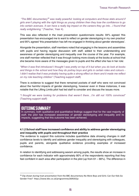"The BBC documentary<sup>36</sup> was really powerful: looking at computers and those stats around if girls aren't playing with the right things as young children then they lose the confidence to go into certain avenues. It can have a really big impact on the careers they go into…I found that really enlightening." (Teacher, Year 4).

This was also reflected in the inset presentation questionnaire results: 94% agreed 'this presentation has encouraged me to want to reflect on gender stereotyping in my own practice' and 95% agreed 'this presentation has left me engaged in thinking about gender stereotypes'.

Alongside the presentation, staff members noted that engaging in the lessons and assemblies with pupils and having regular discussion with staff, added to their understanding and awareness of gender stereotyping and inequality over the course of the year. For example, one staff member reflected that it was through looking more closely at the books at school that she became more aware of the messages given to pupils and the effect she has in her role:

"When it was first introduced I thought I was pretty on top of it but when you do look at books and things in the school and how they do portray boys and girls in certain roles and colours - I didn't realise that it was probably having quite a strong effect on them and it made me reflect on my role teaching children" (Teaching support staff)

There is evidence to suggest that there remained pockets of staff who were not convinced about the harmful impacts of gender stereotyping, however even in these instances, it was notable that the Lifting Limits pilot had led staff to consider and discuss the issues more.

"I thought we were looking for problems that weren't there…I'm still not 100% convinced" (Teaching support staff)

# OUTCOME SUMMARY

In summary, both qualitative and quantitative findings suggest that for the vast majority of staff, the pilot has increased awareness of gender stereotyping and inequality and its impacts, suggesting that this outcome has been achieved.

# 4.1.2 School staff have increased confidence and ability to address gender stereotyping and inequality with pupils and throughout their practice

The evidence to support this outcome includes quantitative data showing changes in staff confidence levels to identify and address gender inequality and stereotyping with colleagues, pupils and parents, alongside qualitative evidence providing examples of increased confidence.

In relation to identifying and addressing sexism among pupils, the results show an increase in confidence for each indicator with approximately 80% of the respondents reporting that they feel confident in each area after participation in the pilot (up from 61 – 66%). The difference in

<sup>&</sup>lt;sup>36</sup> Clip shown during Inset presentation from the BBC documentary No More Boys and Girls: Can Our Kids Go Gender Free? https://www.bbc.co.uk/programmes/b09202jz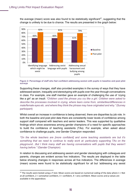the average (mean) score was also found to be statistically significant<sup>37</sup>, suggesting that the change is unlikely to be due to chance. The results are presented in the graph below:



Figure 2: Percentage of staff who feel confident addressing sexism with pupils in baseline and post pilot surveys

Supporting these changes, staff also provided examples in the survey of ways that they have addressed sexism, inequality and stereotyping with pupils over the year through conversations in class. For example, one staff member gave an example of challenging the use of 'crying like a girl' as an insult: "Children used the phrase you cry like a girl. Children were asked to describe the processes involved in crying, where tears come from, similarities/differences in male/female eyes etc. and where they think the phrase may have originated and why." (Survey participant)

Whilst overall an increase in confidence is being observed, there are disparities by job role. In both the baseline and post pilot data there are consistently lower levels of confidence among support staff compared with teachers and senior leaders. This was supported by qualitative findings which show awareness among gender champions of a need for specific approaches to build the confidence of teaching assistants (TAs). For example, when asked about confidence to challenge pupils, one Gender Champion responded:

"On the whole teachers are [more confident] and some teaching assistants are but it's something that we need to continue to really work at: particularly supporting TAs on the playground…But I think many staff are having conversations with pupils that they weren't having before." (Gender Champion)

In relation to discussing and addressing sexism and gender stereotyping with colleagues and parents, changes are evident across five indicators. The results are displayed in the table below showing changes in responses across all five indicators. The differences in average (mean) scores were found to be statistically significant for all but 'addressing any sexist

 $37$  The results were tested using a T-test. Mean scores are based on numerical coding of the data where  $1 = Not$ at all confident, 2 = somewhat confident, 3 = confident, 4 = very confident. Mean scores and p-values are available in the appendices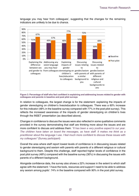

language you may hear from colleagues', suggesting that the changes for the remaining indicators are unlikely to be due to chance.

Figure 3: Percentage of staff who feel confident in explaining and addressing issues related to gender with colleagues and parents in baseline and post pilot surveys

In relation to colleagues, the largest change is for the statement: explaining the impacts of gender stereotyping on children's lives/education to colleagues. There was a 60% increase for this indicator (48% in the baseline survey compared with 77% in the post pilot survey). This reflects the increased awareness of the impacts of gender stereotyping on children's lives through the INSET presentation (as described above).

Changes in confidence to discuss the issues were also reflected in some qualitative comments provided in the survey demonstrating that staff are thinking more about the issues and are more confident to discuss and address them: "It has been a very positive aspect to our year. The children have taken on board the messages, as have staff. It makes me think as a practitioner about the language I use. I feel much more confident to discuss these issues with my colleagues" (Survey participant)

Overall the area where staff report lowest levels of confidence is in discussing issues related to gender stereotyping and sexism with parents with parents of a different religious or cultural background to them. Despite this challenge, staff reported higher levels of confidence in the post pilot survey (48%) compared with the baseline survey (30%) in discussing the issues with parents of a different background.

Alongside confidence data, the survey also shows a 22% increase in the extent to which staff agree with the statement: 'I have the tools, resources and support I need to be able to address any sexism among pupils': 74% in the baseline compared with 90% in the post pilot survey.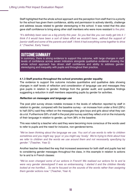Lifting Limits Pilot Impact Evaluation Report

Staff highlighted that the whole school approach and the perception from staff that it is a priority for the school has given them confidence, ability and permission to actively identify, challenge and address issues related to gender stereotyping in the school. It was noted that this also gave staff confidence to bring along other staff members who were more resistant to the pilot.

"It's definitely been seen as a big priority this year. So you feel like you can really get into it. I think if it would have been a sort of token effort we wouldn't have…without the support of [senior staff] and some of the parents and staff. I think it had everything come together to drive it." (Teacher, Early Years)

# OUTCOME SUMMARY

In summary, there is strong evidence to support this outcome, with large changes in staff levels of confidence across seven indicators alongside qualitative evidence showing the whole school approach has driven staff confidence and ability to address gender stereotyping and inequality with pupils and throughout their practice.

# 4.1.3 Staff practice throughout the school promotes gender equality

The evidence to support this outcome includes quantitative and qualitative data showing changes in staff levels of reflection and consideration of language use and messages they give pupils in relation to gender; findings from the gender audit; and qualitative findings suggesting a reduction in staff members separating pupils by gender for activities.

# Reflection on messages and language use

The post pilot survey shows notable increase in the levels of reflection reported by staff in relation to gender, compared with the baseline survey – an increase from under a third (29%) to half (50%) said they reflect on the messages they give boys and girls about what they can do a lot. Furthermore 59% of staff in the post pilot survey said they reflect a lot on the inclusivity of their language in relation to gender, up from 38% in the baseline.

This was noted by a teacher who said they were becoming more conscious of the words used to refer to pupils and the need for inclusive, non-gendered terms.

"We've been thinking about the language we use. You sort of use words to refer to children sometimes and you might say 'guys' or you might say 'lovely'. We're trying to think about how we refer to children and the words we use around them and not necessarily specifying by gender." (Teacher, Year 2)

Another teacher described the way that increased awareness for both staff and pupils has led to considering gender messages throughout the class, in this example in relation to actions for le and la in French classes:

"We've even changed some of our actions in French! We realised our actions for le and la were very gender stereotyped! It was so embarrassing. I started it and the children literally looked at me horrified… So we're focused on the sounds of the words rather than assigning them gender actions now." (Teacher, Year 4)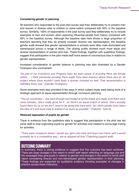# Considering gender in planning

All teachers who responded to the post pilot survey said they deliberately try to present men and women in diverse roles to children to some extent compared with 93% in the baseline survey. Similarly, 100% of respondents in the post survey said they deliberately try to include examples of men and women when exploring influential people from history compared with 95% in the baseline survey. Although the baseline data here shows a large proportion of teachers reporting that they do already consider diverse role representation, the baseline gender audit showed that gender representations in schools were often male dominated and stereotypical across a range of fields. The closing audits showed much more equal and diverse representation of women and men. These findings, together with qualitative findings, suggest that participation in the pilot made staff more aware of unconscious bias in relation to gender representation.

Increased consideration of gender balance in planning was also illustrated by a Gender Champion who commented:

"As part of our Inventions and Progress topic we were aware of ensuring there are female artists…. I think previously possibly there might have been lessons where there was an art project where there wouldn't have been a woman included as well. That representation is definitely there now." (Gender Champion)

Some examples were also provided of the ways in which subject leads were taking more of a strategic approach to equal representation through curriculum planning:

"The art coordinator – she went through and looked at all the artists and made sure there were some females. She's really gone for it...so there's an equal match of artists. She's actually found them for us so we don't need to be doing that hard work. So I think people have taken the idea of it and have tried to embed it as much as possible." (Teacher, Year 6)

## Reduced separation of pupils by gender

There is evidence from the qualitative data to suggest that participation in the pilot has led some staff to stop organising pupils by gender for activities and instead to encourage mixing for activities:

"There were occasions where I would say 'girls over here and boys over there' and it would probably be in a competitive way…we've stopped all that" (Teaching support staff)

# Outcomesummary

In summary, there is strong evidence to suggest that this outcome has been achieved. There are large changes in the extent to which staff report reflecting on language use and the messages they give pupils in relation to gender and changes in the extent to which staff report considering diverse and non-stereotyped gender representation in their planning. These findings are supported by qualitative evidence showing examples of changes in practice across these indicators.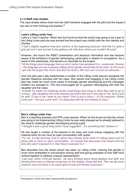#### 4.1.4 Staff case studies

The case studies below show how two staff members engaged with the pilot and the impact it has had on their thinking and practice.<sup>38</sup>

#### Laila's Lifting Limits Year

Laila is a Year 4 teacher. When she first found out that the school was going to be a part of the Lifting Limits pilot she was worried that the project may conflict with her own identity and choices:

"I had a slightly negative knee jerk reaction at the beginning because I feel like I'm quite a girly girl and I was worried it was getting a bit ridiculous where you couldn't like pink"

However, she found the INSET presentation and literature informative and she became aware of the limitations of gender stereotyping, particularly in relation to occupations. As a result of this awareness, she became an advocate for the project:

"All the things about language that you don't notice how gendered it is – policeman, fireman – the language we use is already setting which gender would take those roles. So the more I got into the project the more I feel like I've done a 360 and now I'm such an advocate."

Over the pilot year Laila implemented a number of the Lifting Limits lessons alongside the Gender Detective activities with her class. She reports that engaging in the Lifting Limits pilot has made her much more aware of everyday gender stereotyping and the messages children are exposed to. This has encouraged her to question stereotyping with both her daughter and her class:

"Actually it's made me challenge all the small things that creep in when they start to go to nursery...[My daughter] she loves dresses and that's fine but if she says to me 'pink is just for girls' I'll say to her 'what do you mean? Pink is just a colour – it's for everyone. Daddy loves pink - he's got a pink shirt'. I'm doing that with her but similarly in class."

## Ben's Lifting Limits Year

Ben is a teaching assistant and PPA cover teacher. When he first found out that the school was going to be implementing Lifting Limits he was really pleased as he already believed in the need to challenge gender stereotyping among pupils:

"I thought it was a great thing when it was suggested…It's something that I believe in"

He has taught a number of the lessons in his class and most enjoys engaging with the material when he can have an open conversation with pupils:

"For me, it's like teaching Year 6, where they already know what I'm talking about and it's being able to have an open conversation…it's having that discussion that means that the kids who aren't exposed to it, then they're exposed to it."

Ben describes how the whole school has taken on Lifting Limits, noticing that gender is much more embedded in conversation among staff and giving examples of how staff have worked together to address unequal representation:

"Last year, when it first got started…we were thinking about doing displays and stuff, and thinking there were no female composers on this display, things like that. Then we did some research and now there is an equal split of male and female composers."

<sup>&</sup>lt;sup>38</sup> Participants' names have been replaced with pseudonyms.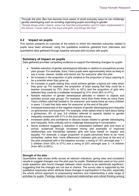Through the pilot, Ben has become more aware of small everyday ways he can challenge gender stereotyping such as avoiding organising pupils according to gender: "Simple things when I teach, since I've had that presentation and it's been implemented in the school, I never split up into boys and girls, and things like that."

# 4.2 Impact on pupils

This section presents an overview of the extent to which the intended outcomes related to pupils have been achieved, using the qualitative evidence gathered from interviews and quantitative data gathered through baseline and post pilot surveys with pupils.

# Summary of impact on pupils

Data gathered provides compelling evidence to support the following changes for pupils:

- Notable reduction of gender stereotypical attitudes in relation to occupations across year groups. For example, Early Years pupils were approximately twice as likely to say a nurse, cleaner, builder and doctor are 'for everyone' after the pilot.
- An increase in the proportion of girls (relative to the proportion of boys) aspiring to be a scientist when they grow up.
- An increase in pupils stating they could achieve gender a-typical job roles when they grow up. For example, the proportion of boys saying that they could be a teacher increased by 75% (from 24% to 42%) and the proportion of girls who selected they could be a footballer increased by 31% (from 36% to 47%).
- Notable reduction of gender stereotypical attitudes in relation to objects and activities across year groups. For example, more than three times as many Early Years children said that football is 'for everyone' and nearly twice as many children in years 1-2 said that dolls were 'for everyone' at the end of the pilot.
- Increased awareness of the negative impacts of gender stereotyping and inequality on girls/women and boys/men. For example, when asked what is hard about being a girl/woman, 8% of year 3-6 children referred to aspects related to gender inequality compared with 21% in the post pilot survey.
- Increased ability and confidence to discuss issues related to gender stereotyping and inequality, think critically and to challenge stereotyping in conversation.
- Some evidence suggests a reduction in polarisation between girls and boys at school, evidenced through increased mixing and examples of improved relationships and friendships between girls and boys based on respect and equality. For example, a larger proportion of pupils perceived there to be 'more similarities' (rather than 'more differences') between girls and boys at the end of the pilot compared with in the baseline surveys: a swing of 10% amongst year 1 – 2 children (from 53% to 57%) and a swing of 22% amongst year 3 – 6 children (from 58% to 69%).

# Strength of the data

Quantitative data shows shifts across all relevant indicators, giving clear and consistent results to suggest changes over the pilot year for pupils. Statistical tests used on four point scale questions also found changes between mean scores to be statistically significant, suggesting that the changes are not due to chance. The survey data is supported by the qualitative responses which attribute these changes to participation in the pilot, especially the whole school approach to empowering teachers and implementing a wide range of activities for pupils. Findings related to improved relationships and critical thinking among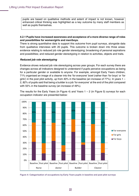pupils are based on qualitative methods and extent of impact is not known, however enhanced critical thinking was highlighted as a key outcome by many staff members as well as pupils themselves.

# 4.2.1 Pupils have increased awareness and acceptance of a more diverse range of roles and possibilities for women/girls and men/boys.

There is strong quantitative data to support this outcome from pupil surveys, alongside data from qualitative interviews with 20 pupils. This outcome is broken down into three areas: evidence relating to reduced job role gender stereotyping; broadening of personal aspirations and possibilities; and reduced gender stereotyping in relation to activities, objects and traits.

# Reduced job role stereotyping

Evidence shows reduced job role stereotyping across year groups. For each survey there are changes across all indicators designed to understand if pupils perceive occupations as being for a particular gender or available to anyone. For example, amongst Early Years children, 71% organised an image of a cleaner into the 'for everyone' bowl (rather than 'for boys' or 'for girls') in the post pilot activity, up from 40% in the baseline (an increase of  $77\%$ ). In years  $1 -$ 2, 82% of pupils said that being a builder is a job 'for everyone' at the end of the pilot compared with 55% in the baseline survey (an increase of 49%).





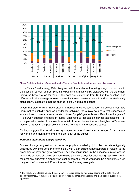



In the Years 3 – 6 survey, 93% disagreed with the statement 'nursing is a job for women' in the post pilot survey, up from 86% in the baseline. Similarly, 95% disagreed with the statement 'being the boss is a job for men' in the post pilot survey, up from 87% in the baseline. The difference in the average (mean) scores for these questions were found to be statistically significant $39$ , suggesting that the change is likely not due to chance.

Given that older children have often internalised unconscious gender stereotypes, yet have learnt not to explicitly endorse gender stereotyping, the survey sought to test unconscious associations to gain a more accurate picture of pupils' gender biases. Results in the years 3 – 6 survey suggest changes in pupils' unconscious occupation gender associations. For example, when asked to choose from a list of names to ascribe to a firefighter, 43% chose women's names in the post pilot survey, up from 29% in the baseline survey.

Findings suggest that for all three key stages pupils endorsed a wider range of occupations for women and men at the end of the pilot than at the outset.

# Personal aspirations and possibilities

Survey findings suggest an increase in pupils considering job roles not stereotypically associated with their gender after the pilot, with a particular change apparent in relation to the proportion of boys and girls expressing science aspirations. In the baseline surveys around two-thirds of those choosing science related jobs were boys for each age group. However in the post pilot survey this disparity was not apparent: of those wanting to be a scientist, 53% in the year  $1 - 2$  survey and 43% in the year  $3 - 6$  survey were girls.

 $39$  The results were tested using a T-test. Mean scores are based on numerical coding of the data where  $1 =$ strongly disagree, 2 = disagree, 3 = agree and 4 = strongly agree. Mean scores and p-values are available in Appendix 3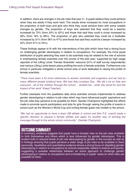In addition, there are changes in the job roles that year  $3 - 6$  pupils believe they could achieve when they are adults if they work hard. The results show increases for most occupations in the proportion of both boys and girls who think they could achieve them with some notable changes by gender. The proportion of boys who selected that they could be a teacher increased by 75% (from 24% to 42%) and those that said they could a nurse increased by 56% (from 18% to 28%). The proportion of girls who selected they could be a footballer increased by 31% (from 36% to 47%) and those that said they could be a lawyer increased by 42% (from 31% to 44%).

These findings appear to fit with the interventions of the pilot which have had a strong focus on challenging gender stereotypes in relation to occupations. For example, the more equal distribution of pupils selecting they want to be scientists may be related to the role of schools in emphasising female scientists over the course of the pilot year, supported by high usage reported of the Lifting Limits 'Female Scientists' resource (51% of staff survey respondents) and various Lifting Limits lesson plans profiling the work of female scientists. Furthermore one school in particular instigated a whole school area of work dedicated to raising the profile of female scientists.

"There have been a lot more references to women scientists and engineers and we had so many different people [visitors] here. We had Ada Lovelace Day…We did a lot on Ada and everyone - all of the children through the school - studied her...what she stood for and the impact of her work" (Head Teacher).

Further examples from the qualitative data show activities schools implemented to address gender stereotyping in relation to job roles which may have influenced pupils' aspirations and the job roles they perceive to be possible for them. Gender Champions highlighted the efforts made to promote sports participation and jobs for girls through raising the profile of events in school such as the Women's World Cup and inviting female guest role models to the school.

"We had an opportunity to have a team GB athlete in school and [the P.E. coach] made a specific decision to request a female athlete and again it's another way of sending the message through to the whole school community" (Gender Champion)

# Outcomesummary

In summary, evidence suggests that pupils have a broader view on the job roles available to both themselves and others which is less influenced by gender stereotypes. This is evident both in reduced levels of job role stereotyping by gender in the surveys as well as in findings showing that pupils perceive a wider range of job roles to be available to them personally. Qualitative and quantitative evidence shows a strong focus on dispelling gender stereotyping in relation to occupations by schools (especially related to science and sports), suggesting a possible relationship between an active approach to challenge gender stereotyping in relation to occupations and a broadening of pupils' views on what roles are possible for them.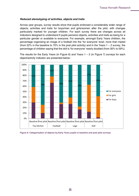# Reduced stereotyping of activities, objects and traits

Across year groups, survey results show that pupils endorsed a considerably wider range of objects, activities and traits for boys/men and girls/women after the pilot, with changes particularly marked for younger children. For each survey there are changes across all indicators designed to understand if pupils perceive objects, activities and traits as being for a particular gender or available to everyone. For example, amongst Early Years children, the percentage organising an image of a football into the 'for everyone' bowl, more than tripled (from 22% in the baseline to 70% in the post pilot activity) and in the Years  $1 - 2$  survey, the percentage of children saying that the doll is 'for everyone' nearly doubled (from 30% to 59%).

The results for the Early Years (in Figure 6) and Years  $1 - 2$  (in Figure 7) surveys for each object/activity indicator are presented below:



Figure 6: Categorisation of objects by Early Years pupils in baseline and post pilot surveys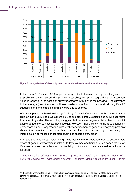

Figure 7: categorisation of objects by Year 1 - 2 pupils in baseline and post pilot surveys

In the years 3 – 6 survey, 95% of pupils disagreed with the statement 'pink is for girls' in the post pilot survey (compared with 84% in the baseline) and 96% disagreed with the statement 'Lego is for boys' in the post pilot survey (compared with 88% in the baseline). The difference in the average (mean) scores for these questions was found to be statistically significant<sup>40</sup>, suggesting that the change is unlikely to be due to chance.

When comparing the baseline findings for Early Years with Years 3 – 6 pupils, it is evident that children in the Early Years were more likely to explicitly perceive objects and activities to relate to a specific gender. These findings suggest that, to some degree, children learn to unpick explicit gender stereotypes as they get older. However, findings showing the large changes in perceptions among Early Years pupils' level of endorsement of gender stereotyping post pilot shows the potential to change these associations at a young age, preventing the internalisation of implicit gender stereotyping as children grow older.

Staff and pupils noted particular Lifting Limits lessons that encouraged them to become more aware of gender stereotyping in relation to toys, clothes and traits and to broaden their view. One teacher described a lesson on advertising for toys which they perceived to be impactful for pupils:

"In year 4 we looked a lot at advertising for toys geared towards boys or girls and then making our own adverts that were gender neutral – because that's around them a lot. They're

 $40$  The results were tested using a T-test. Mean scores are based on numerical coding of the data where  $1 =$ strongly disagree, 2 – disagree, 3 = agree and 4 = strongly agree. Mean scores and p-values are available in Appendix 3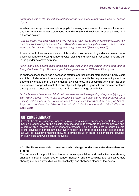surrounded with it. So I think those sort of lessons have made a really big impact." (Teacher, Year 4)

Another teacher gave an example of pupils becoming more aware of limitations for women and men in relation to trait stereotypes around strength and weakness through a Lifting Limit art lesson activity.

"The art lesson was quite interesting. We looked at really sexist 40s or 50s pictures…and how men and women are presented in that…We had a really interesting discussion…Some of them wanted to find pictures of men crying and being emotional." (Teacher, Year 6)

In one school, there was evidence of lots of discussion related to gender and examples of pupils deliberately choosing gender atypical clothing and activities in response to taking part in the gender detective activities:

"One year 4 boy bought some sunglasses that were in the girls section of the shop and he thought actually 'Why? These are great, they go with my hat!'" (Gender Champion)

In another school, there was a concerted effort to address gender stereotyping in Early Years and this included efforts to ensure equal participation in activities, equal use of toys and the opportunity to take part in a play in gender atypical roles. The accumulative impact has been an observed change in the activities and objects that pupils engage with and more acceptance among pupils of boys and girls taking part in a broader range of activities.

"Actually there's been none of that stuff that there was at the beginning: 'Oh you're [a] boy you can't wear a dress'. They're sort of accepting it more. So I think that is huge progress…And actually we've made a real concerted effort to make sure that when they're playing like the boys don't dominate the bikes or the girls don't dominate the writing table." (Teacher, Early Years)

# OUTCOME SUMMARY

Overall therefore, evidence from the survey and qualitative findings suggests that pupils have a broader view on the objects, activities and traits available to both themselves and others which is less informed by gender stereotypes. This is evident both in reduced levels of stereotyping by gender in the surveys in relation to a range of objects, activities and traits as well as qualitative findings showing a strong focus on dispelling gender stereotyping through class and whole school activities.

# 4.2.2 Pupils are more able to question and challenge gender norms (for themselves and others)

The evidence to support this outcome includes quantitative and qualitative data showing changes in pupils' awareness of gender inequality and stereotyping; and qualitative data showing pupils' ability to discuss, think critically, and challenge others on the issues.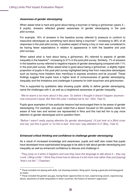## Awareness of gender stereotyping

When asked what is hard and good about being a boy/man or being a girl/woman (years 3 – 6 pupils), answers reflected greater awareness of gender stereotyping in the post pilot surveys.

For example, 16% of answers in the baseline survey referred to pressure to conform to masculine stereotypes as something hard about being a boy/man<sup>41</sup>, increasing to 26% of all responses in the post pilot survey. A positive aspect of being a boy or man was considered to be having fewer expectations in relation to appearance in both the baseline and post pilot surveys.

When asked what is hard about being a girl/woman, 8% referred to aspects of gender inequality in the baseline<sup>42</sup>, increasing to 21% in the post pilot survey. Similarly, 7% of answers in the baseline survey referred to negative impacts of gender stereotyping compared with 11% in the post pilot survey. When asked what is good about being a girl/woman, a slightly higher proportion of pupils in the post pilot survey highlighted being free from masculine stereotypes such as having more freedom than men/boys to express emotions and be yourself. These findings suggest that pupils have a higher level of consciousness of gender stereotyping, inequality and the limitations and challenges it presents for both boys/men and girls/women.

This is supported by qualitative data showing pupils' ability to define gender stereotyping, name the challenges with it, as well as a heightened awareness of gender inequality.

"We've learnt a lot more about it this year. So before I thought it doesn't happen anymore now everyone's equal. But then this year I realised we're not." (Girl, Year 5)

Pupils gave examples of how particular lessons had encouraged them to be aware of gender stereotyping. For example, one pupil noted that a lesson focused on film posters made him aware of how men and women are represented in films and this had led him to pay more attention to gender stereotypes and to question them.

"Before I wasn't really paying attention [to gender stereotypes]. I'd just look at a [film] cover and say 'yes this is good' or 'no this is bad'. And now I pay attention to it" (Boy, Year 5)

#### Enhanced critical thinking and confidence to challenge gender stereotyping

As a result of increased knowledge and awareness, pupils and staff also noted that pupils have developed more sophisticated language to be able to talk about gender stereotyping and inequality as well as enhanced confidence to discuss and challenge it.

"They jump on it when it happens and now they have the language to talk about it  $-$  they say 'Look, Lifting Limits'. I think they know how to discuss it a bit more now rather than just [saying] "that's not fair"." (Teacher)

 $41$  These included not playing with dolls, not showing emotion, liking sport, having a good job and being good at maths

<sup>&</sup>lt;sup>42</sup> These included the gender pay gap, having fewer opportunities to men, experiencing sexism, experiencing abuse, awareness of wide inequalities in other countries, the history of women's oppression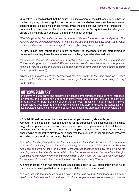Qualitative findings highlight that the critical thinking element of the pilot, encouraged through the lesson plans, philosophy guidance, discussion cards and other resources, has empowered pupils to reflect on society's gender norms, giving them tools to overcome their limitations. A comment from one member of staff encapsulates how children's acquisition of knowledge and critical thinking skills can empower them to bring about change:

"The Lifting Limits pilot challenged and broadened children's ideas about sex and gender. This resulted in more children being able to reflect on the past and think critically about the present. This gives them the means to change the future" (Teaching support staff)

In turn, pupils also report feeling more confident to challenge gender stereotyping in conversation as they have the awareness and the language to be able to do so.

"I feel confident to speak about gender stereotypes because you shouldn't be ashamed of it. There's nothing to be ashamed of. We just want this world to be a fairer and a nicer place to live in so you should speak out and stop people and make sure they don't do it again because it's wrong" (Girl, Year 6)

"When someone said it last year I sort of said 'that's not right' and they said 'why? why? why?' and I couldn't think about it my mind would go blank, but now I have things to say" (Girl, Year 5)

# OUTCOME SUMMARY

In summary, quantitative and qualitative evidence demonstrates that pupils have increased awareness and understanding of gender stereotyping and inequality through the activities they have taken part in at school over the pilot year, resulting in pupils having a more sophisticated vocabulary and enhanced critical thinking skills to discuss the issues as well as increased confidence to promote equality and challenge stereotyping in conversation.

## 4.2.3 Additional outcome: improved relationships between girls and boys

Although not defined as an intended outcome for the purposes of the pilot, qualitative findings suggest that particular interventions have encouraged an improvement in the relationships between girls and boys in the school. For example, a teacher noted that due to actively encouraging collaborative play they have observed that pupils no longer organise themselves according to gender divisions during play time.

"And when they're playing they do play a lot together. I think that's because we've done a lot of work of developing friendships and developing interests and collaborative play. So you'll find boys and girls all sat at the writing table drawing together and boys and girls on the climbing frame. And there's not a division. I've had other reception classes where the girls were always in the home corner and the boys always in the sand pit. And the boys never touch the writing table because that's what the girls do." (Teacher, Early Years)

At another school which has emphasised equal participation in P.E., pupils interviewed noted that they have developed better mixed gender relationships in this context:

"It's very fun with the sports as both the boys and the girls go and I think that makes a better relationship between the boys and the girls. For example, me and some other girls now we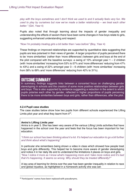play with the boys sometimes and I don't think we used to and it actually feels very fun. We used to play by ourselves but now we've made a better relationship – we treat each other better." (Girl, Year 4)

Pupils also noted that through learning about the impacts of gender inequality and understanding the effects of sexism there have been some changes in how boys relate to girls, suggesting enhanced understanding and respect:

## "Now I'm probably treating girls a bit better than I was before" (Boy, Year 4)

These findings on improved relationships are supported by quantitative data suggesting that pupils are less polarised in their views of gender. A larger proportion of pupils perceived there to be 'more similarities' (rather than 'more differences') between girls and boys at the end of the pilot compared with the baseline surveys: a swing of 10% amongst year  $1 - 2$  children (with 'more similarities' increasing from 53% to 57% and 'more differences' reducing from 47% to 43%) and a swing of 22% amongst year 3 – 6 children (with 'more similarities' increasing from 58% to 69% and 'more differences' reducing from 42% to 31%).

# OUTCOME SUMMARY

In summary, findings suggests links between a concerted focus on challenging gender stereotyping in schools and the creation of some more positive relationships between girls and boys. This is also supported by evidence suggesting a reduction in the extent to which pupils polarise each other by gender, reflected in higher proportions of pupils perceiving there to be more similarities between boys and girls, rather than differences, after the pilot.

## 4.2.4 Pupil case studies

The case studies below show how two pupils from different schools experienced the Lifting Limits pilot year and what they learnt from  $it^{43}$ .

## Amira's Lifting Limits year

Amira is in year 5. She has been very aware of the various Lifting Limits activities that have happened in the school over the year and feels that the focus has been important for her education.

"I think our school has been thinking about it a lot. It's helped our education to go a bit further and think about what's happening"

In particular she remembers being shown a video in class which showed how people treat boys and girls differently. This helped her to become more aware of gender stereotyping and notice it in her daily life and to understand the limitations it places on boys and girls. "Now I notice it more as I know what's happening more and I take more notice and it's bad that it's happening. It seems so wrong. Why should they be treated differently?"

A key area of learning for Amira over the year has been gender inequality in relation to race and global injustice, as highlighted in a homework activity she was set:

<sup>43</sup> Participants' names have been replaced with pseudonyms.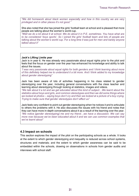"We did homework about black women especially and how in this country we are very privileged and in other places it's not good."

She also noted that she has joined the girls' football team at school and is pleased that more people are talking about the women's world cup.

"Well we do a lot about it at school. We do about it in P.E. sometimes. You have what are to be considered 'boys sports'. So I joined the girls' football team and lots of people are talking about the women's world cup. For a long time it was just for men and barely anyone talked about it"

#### Jack's Lifting Limits year

Jack is in year 6. He was already very passionate about equal rights prior to the pilot and feels that the focus on gender over the year has enhanced his knowledge and ability to talk about the issues.

"I was very passionate about equal rights for both genders and I think learning about more of this definitely helped me to understand it a bit more. And I think added to my knowledge about gender stereotyping"

Jack has been aware of lots of activities happening in his class related to gender stereotyping over the year, including general conversations with the class teacher and learning about stereotyping through looking at statistics, images and videos.

"We talk about it a lot and we get educated about this kind of subject…We learnt about the statistics about boys and girls, and common stereotypes and then we did some things where we looked at photos – saying boys don't cry and then we looked at a picture of a boy crying. Trying to make sure that gender stereotypes don't affect us"

Jack feels very confident to point out gender stereotyping when he notices it and to articulate to others the problems with it. He also discusses the issues with his friend and notes that they can have more in-depth conversations about it as a result of the learning over the year. "We notice [gender stereotyping] me and my friend…we have a discussion. We can say more now because we've been educated about it and we can use common examples that we've learnt about"

# 4.3 Impact on schools

This section explores the impact of the pilot on the participating schools as a whole. It looks at the extent to which gender stereotyping and inequality is reduced across school systems, structures and materials; and the extent to which gender awareness can be said to be embedded within the schools, drawing on observations in schools from gender audits and interviews with school staff.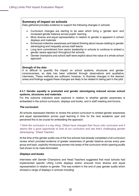Lifting Limits Pilot Impact Evaluation Report

# Summary of impact on schools

Data gathered provides evidence to support the following changes in schools:

- Curriculum changes are starting to be seen which bring a 'gender lens' and increased gender balance across pupils' learning
- More diverse and equal representation in relation to gender is apparent in school displays and materials
- Enhanced collective awareness and lateral thinking about issues relating to gender stereotyping and inequality across staff teams
- Long term commitment from senior leadership in schools to continue to embed a gender aware approach throughout the schools
- Gender champions and school staff were explicit about the value of a whole school approach

#### Strength of the data

It is difficult to quantify the impact on school systems, structures and gender consciousness, so data has been collected through observations and qualitative interviews. These methods are sufficient, however, to illustrate changes in the desired areas and findings suggest these changes are likely to be related to taking part in the pilot.

# 4.3.1 Gender equality is promoted and gender stereotyping reduced across school systems, structures and materials.

For this outcome indicators were explored in relation to whether gender awareness is embedded in the school curriculum, displays and books, and in staff meeting and forums.

## The curriculum

All schools expressed intention to review the school curriculum to embed gender awareness and equal representation across pupil learning in time for the next academic year and perceived this to be crucial for embedding the approach.

"I think the curriculum is a key thing. Ofsted have changed their focus onto curriculum and it seems like a good opportunity to look at our curriculum and see that's challenging gender stereotyping." (Head Teacher)

At the time of the gender audits one of the five schools had already completed a full curriculum review which provided evidence of greater awareness of gender balance across every year group and topic, explicitly introducing women into areas of the curriculum which opening audits had shown to be male-dominated.

## Displays and books

Interviews with Gender Champions and Head Teachers suggested that most schools had implemented specific Lifting Limits displays and/or ensured more diverse and equal representation in relation to gender. This was evident in the end of year gender audits which showed a range of displays in schools including: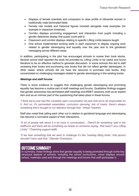- Displays of female scientists and composers to raise profile of influential women in traditionally male-dominated fields
- Female role models and historical figures included alongside male examples (for example in classroom timelines)
- Corridor displays promoting engagement and interaction from pupils including a gender detectives display that pupils could add to
- Classroom and corridor displays relating to specific Lifting Limits lessons taught
- One school implemented working walls in each classroom to display ongoing work related to gender stereotyping and equality over the year and to link gendered messaging across different areas

In addition, participating in the pilot has encouraged schools to review their book stocks. Several school staff reported the book list provided by Lifting Limits to be useful and found literature to be an effective method to generate discussion. In some schools this led to staff reviewing their books and purchasing new books that did not reflect gender stereotypes. In other cases, where schools did not have the resource to purchase new books, they concentrated on challenging messages related to gender stereotyping in the existing books.

# Meetings and staff forums

There is some evidence to suggest that challenging gender stereotyping and promoting equality has become a routine part of staff meetings and forums. Qualitative findings suggest that gender awareness has permeated staff meetings and INSET sessions, both as an explicit item and as an intrinsic part of the questioning that takes place in these forums.

"I think we've just had this complete open conversation all year that we're all responsible for it. And so, it's permeated assemblies, curriculum planning, lots of Insets, there's always something that's brought to our attention through that." (Head Teacher)

Staff also noted that calling each other out in relation to gendered language and stereotyping has become a normative aspect of their interactions.

"A lot of people talk about it a lot more in conversation…There'll be something said in the staffroom and there will be something as simple as someone saying, 'that wasn't very Lifting Limits'." (Teaching support staff)

"If we hear something that we want to challenge it's like 'hashtag lifting limits': that person shouldn't have said that." (Gender Champion)

# Outcomesummary

In summary, these findings show that gender equality is being promoted through some key structural aspects of schools, including the school curriculums, visual displays around school, materials used and through the meetings and forums that staff participate in.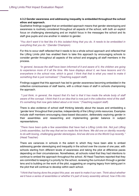# 4.3.2 Gender awareness and addressing inequality is embedded throughout the school ethos and approach.

Qualitative findings suggest that an embedded approach means that gender stereotyping and awareness is routinely considered throughout all aspects of the school, with both an explicit focus on challenging stereotyping and an implicit focus in the messages the school and its staff give pupils and one another in relation to gender.

"You don't want it to feel like it's this isolated thing that you do. It needs to be embedded in everything that you do." (Gender Champion)

For this to occur staff reflected that it needs to be a whole school approach and reflected that the Lifting Limits pilot has enabled them to take this approach by encouraging schools to consider gender throughout all aspects of the school and engaging all staff members in the process.

"In general, because the staff have been informed of it and aware of it, the children are going to experience more of it all the time. We have displays about it, we have lessons and it's everywhere in the school now, which is good. I think that that is what you need to make it something that is just normalised." (Teaching support staff)

Findings suggest that this approach has led to gender awareness becoming embedded in the collective consciousness of staff teams, with a critical mass of staff in schools championing the approach.

# "I just think, in general, the impact that it's had is that it has made the whole body of staff aware of the concept. I think that it is an idea that is now just in the collective mind of the staff. It's something that now gets talked about a lot more." (Teaching support staff)

There is also evidence of school staff thinking laterally about the issues and embedding a 'gender lens' throughout their practise, independently of the Lifting Limits resources. Examples include staff members encouraging class-based discussion, deliberately exploring gender in their assemblies and researching and implementing gender balance in subject representations.

"There have been quite a few assemblies that have had a Lifting Limits link. Not just Lifting Limits assemblies, but the way that we've made the link there. We did one on identity recently to do with boxing, challenging gender stereotypes. And we did one on the World Cup recently." (Head Teacher)

There are variances in schools in the extent to which they have been able to embed addressing gender stereotyping and inequality in the school over the course of one year, with schools starting from different levels of awareness and taking the pilot at difference paces depending on their circumstances. Nonetheless, all schools noted that they had intentions to continue to embed the approach throughout the school. All Head Teachers reported that they are committed to keeping it a priority for the school, reviewing the curriculum through a gender lens and to building on the work of the pilot, suggesting an ongoing legacy from taking part in the pilot that will continue to develop within each school.

"I think that having done the project this year, we want to make it our own. Think about whether we'd have a series of assemblies or whether it's part of every assembly almost; how it fits into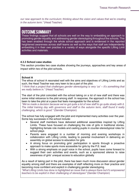our new approach to the curriculum; thinking about the vision and values that we're creating in the autumn term." (Head Teacher)

# OUTCOME SUMMARY

These findings suggest that all schools are well on the way to embedding an approach to promoting gender equality and addressing gender stereotyping throughout the schools. This has been enabled through the whole school approach and is evidenced in the reported heightened awareness across staff teams as well as the ways that staff are independently embedding it in their own practise in a variety of ways alongside the specific Lifting Limit activities and materials.

# 4.3.3 School case studies

This section provides two case studies showing the journeys, approaches and key areas of impact within two of the pilot schools.

# School A

The ethos of school A resonated well with the aims and objectives of Lifting Limits and as such, the Head Teacher was very keen to be a part of the pilot.

"I think that a project that challenges gender stereotyping is very 'us' – it's something that we really believe in." (Head Teacher)

The start of the pilot coincided with the school taking on a lot of new staff and there was some initial reticence to the pilot among staff. In response, the approach in the school has been to take the pilot at a pace that feels manageable for the school.

"We've made a decision because we've got quite a lot of new staff to go quite slowly with it. The initial training day with governors and staff in the autumn term, staff found it really challenging, which is good." (Gender Champion)

The school has fully engaged with the pilot and implemented many activities over the year. Some key successes in the school include:

- Several staff members have delivered additional assemblies inspired by Lifting Limits. These have focused on challenging the role of girls in traditional stories, highlighting female role models and casting pupils in counter-stereotypical roles for school plays
- Parents were engaged in a number of morning and evening workshops in collaboration with Lifting Limits, leading to parental involvement in delivering an assembly on global access to education for girls
- A strong focus on promoting girls' participation in sports through a proactive approach to make sports more accessible for girls by the P.E. lead
- With a strong emphasis on pupil voice in the school, pupils have come forward to suggest their own activities and events, such as a sponsored silence to raise awareness of girls' unequal access to education globally

As a result of taking part in the pilot, there has been much more discussion about gender equality among staff and there are examples of staff reflecting more on their practice and becoming more confident and explicit in challenging gender stereotyping.

"What Lifting Limits has done is highlighted an issue that is always there but it's empowered teachers to be explicit in their challenging of stereotypes" (Gender Champion)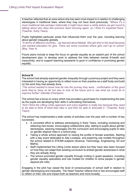A teacher reflected that an area where she has seen most impact is in relation to challenging stereotypes in traditional tales, where they may not have done previously: "Where it's a more traditional tale perhaps historically it might have been a while before we got round to talking about why does this princess need rescuing again, so I think it's impacted there." (Teacher, Early Years)

Pupils highlighted particular areas that influenced them over the year, including learning about gender inequality globally.

"In terms of different countries…we learned about Malala. She got shot in the head because she wanted education for girls. There are some countries where girls can't go to school" (Boy, Year 4)

Future plans include to keep the focus on gender equality as an explicit part of the school development plan; to develop work to address the links between mental ill-health and masculinity; and to support teaching assistants to grow in confidence in promoting gender equality.

# School B

The school had already explored gender inequality through a previous project and they were interested in having an opportunity to reflect more on their practice as a staff body and build on the work they had already done.

"The school wanted to know how far into the journey they were…confirmation of the good work they've done so far but also to look at the future and to see what we could do to improve further" (Gender Champion)

The school has a focus on oracy which has provided a good basis for implementing the pilot as the pupils are developing their skills in articulating themselves.

"And I think the Lifting Limits approach and oracy together is really key because they need to be able to think of what their idea is and then be able to articulate it." (Teacher, Early Years)

The school has implemented a wide variety of activities over the year with a number of key successes:

- A concerted effort to address stereotyping in Early Years, including reviewing and obtaining new books, encouraging collaborative play, talking to pupils about gender stereotypes, weaving messages into the curriculum and encouraging pupils to take on gender atypical roles in a school play.
- Taking a whole school approach to raising the profile of female scientists. Starting with a day event dedicated to Ada Lovelace, and exploring role models throughout the school related to STEAM subjects (Science, Technology, Engineering, Art and Maths).
- Staff implemented the Lifting Limits lesson plans but they have also been focused on how they can adapt their existing curriculum to embed gender awareness in what they are already doing
- The school promoted gender equality through inviting in guest speakers, including gender equality specialists and role models for children to show people in gender atypical job roles.

Engaging in the pilot has raised the level of consciousness of school staff in relation to gender stereotyping and inequality. The Head Teacher reflects that is has encouraged staff to reflect on their role and impact both as teachers and more broadly.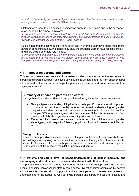"I think it's been really reflective, not just in terms of as a teacher but as a parent or as an employer, as a member of society." (Head Teacher)

Staff perceive there to be a noticeable impact on pupils in Early Years due to the concerted effort made by the school in this area.

"Early years has been a massive impact. So much work has been done in early years, right through from nursery. It's in the classrooms and planning and activities and use of language, working with parents. It's been huge." (Head Teacher)

Pupils noted that the activities they have taken part in over the year have made them more aware of gender inequality, the gender pay gap, the struggles women have face historically, and more aware of female role models.

"I always thought that that was a thing of the past and they were equal but it kind of baffled me to know that it was still going on. When I learnt about the pay gap, I thought it was completely unequal and disgraceful for something like that to be going on." (Boy, Year 5)

# 4.4 Impact on parents and carers

This section presents an overview of the extent to which the intended outcomes related to parents and carers have been achieved using quantitative data gathered from questionnaires administered at the end of workshops for parents and carers, and some reflections from interviews with staff.

# Summary of impact on parents and carers

Data gathered provides evidence to support the following impact on parents and carers:

- Nearly all parents attending Lifting Limits workshops (86 in total, a small proportion of parents across the schools) reported increased understanding of gender inequality and stereotyping and confidence in discussing it with their children. For example, 95% of parents agreed with the statement 'After this presentation, I feel more able to talk about gender stereotyping with my children'.
- Examples of conversations between parents and their children about gender stereotyping and inequality following pupil participation in relevant activities at school.

## Strength of the data

It has not been possible to assess the extent of impact on the parent body as a whole due to challenges in engaging parents in evaluation activities. Findings, therefore, are mostly limited to the impact of the workshops on parents who attended and present a partial understanding of the impact of the pilot on parents and carers.

# 4.4.1 Parents and carers have increased understanding of gender inequality and stereotyping and confidence to discuss and address it with their children.

The primary intervention for parents was through invitation to workshops delivered by Lifting Limits (alongside senior school staff in some cases). Questionnaires completed by parents and carers after the workshops suggest that the workshops led to increased awareness and understanding of the issues as well as giving parents and carers the tools to discuss and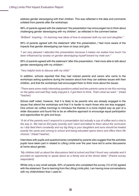address gender stereotyping with their children. This was reflected in the data and comments collated from parents after the workshops:

99% of parents agreed with the statement 'the presentation has encouraged me to think about challenging gender stereotyping with my children', as reflected in the comment below:

#### "Brilliant! Inspiring - I'm learning new ideas of how to empower both my son and daughter."

95% of parents agreed with the statement 'after this presentation, I feel more aware of the impacts that gender stereotyping can have on boys and girls:

"I am very pleased I attended this presentation because it makes me realise how much I've been influenced by society on gender stereotyping myself toward my male son."

95% of parents agreed with the statement 'after this presentation, I feel more able to talk about gender stereotyping with my children':

#### "Very helpful tools to discuss with my child."

In addition, schools reported that they had noticed parents and carers who came to the workshops asking questions during the session about how they can address issues with their children, and that the workshops had encouraged them to think more about the issues.

"There were some really interesting questions asked and two parents came to me this morning on the gates and said they really enjoyed it, it got them to think. That's what we want." (Head Teacher)

School staff noted, however, that it is likely to be parents who are already engaged in the issues that attend the workshops and that it is harder to reach those who are less engaged. One school ran coffee mornings to introduce the themes in a more implicit way as part of a wider discussion and found this to be an effective approach to encourage equal participation and opportunities for girls and boys.

"A lot of the parents won't respond to a presentation but actually a cup of coffee and a chat is the way in. We had an Eid party recently and I went and talked to them about the curriculum so I drip feed them constantly and my big thing is your daughters and sons should be treated exactly the same and coming to school and being educated opens doors and offers them life choices." (Head Teacher)

Interviews with pupils and questionnaires completed by parents also suggest that the activities pupils have taken part in related to Lifting Limits over the year have led to some discussions at home about gender.

"My children told us about the discussions held at school and that I found very valuable and it provided an opportunity to speak about as a family and at the dinner table." (Parent survey respondent)

Whilst only a very small sample, 63% of parents who completed the survey (15 of 24) agreed with the statement 'Due to learning from the Lifting Limits pilot, I am having more conversations with my child/children than I used to'.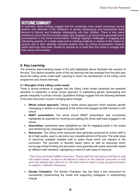# OUTCOME SUMMARY

In summary, these findings suggest that the workshops have raised awareness among parents who attended of the limitations of gender stereotyping and empowered those parents to discuss and challenge stereotyping with their children. There is also some evidence to show that the activities pupils have engaged in at school have generated some conversations in the home environments. Findings highlight challenges in engaging and influencing parents on a larger scale and in collating evidence in relation to the impact on parents due to their relatively removed position from the school environment, however useful learnings have been shared by schools as to what they find works to engage with their school communities.

# 5. Key Learning

The evidence demonstrating impact of the pilot highlighted above illustrates the success of the pilot. This section presents some of the key learning that has emerged from the pilot year about the Lifting Limits model itself. Learning to inform the development of the Lifting Limits programme was shared internally.

# 5.1 Strengths of the Lifting Limits model

There is strong evidence to suggest that the Lifting Limits model comprises the essential elements to implement a whole school approach to addressing gender stereotyping and gender inequality in primary schools. Qualitative findings suggest that the following elements of the pilot have been crucial in bringing about change:

- Whole school approach: Taking a whole school approach which explores gender messaging in relation to all aspects of the school and engages all staff members in the school
- INSET presentation: The whole school INSET presentation was consistently highlighted as essential for involving and getting the whole staff base engaged in the issues
- Assemblies: assemblies were highlighted as vital for engaging pupils in the issues and reinforcing key messages for pupils and staff
- Resources: The Lifting Limits resources were generally perceived by school staff to be of high quality, easy to use and a very valuable element of the pilot. The wide range of resources available enabled staff to select those which are relevant to the curriculum. The provision of discrete lesson plans as well as resources which encourage critical thinking and discussion more generally with pupils were both valued by different staff members, highlighting a need for both types of resource.

"They have produced brilliant resources. They're split into year group and they're split into subject areas...so they're all tailored to what is in the national curriculum so that work has already been done for us. We don't have to map it to year groups and map it to subjects." (Gender Champion)

 Gender Champion: The Gender Champion role has been a key component for successfully implementing the model and supporting colleagues in implementing change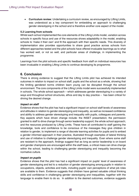Curriculum review: Undertaking a curriculum review, as encouraged by Lifting Limits, was understood as a key component for embedding an approach to challenging gender stereotyping in the school and is therefore another core aspect of the model.

# 5.2 Learning from schools

Whilst each school implemented the core elements of the Lifting Limits model, variation across schools in specific focus and use of the resources shows adaptability in the model, enabling schools to 'make it their own' and fit the approach with their specific needs. This diversity of implementation also provides opportunities to share good practice across schools from different approaches tested and the pilot schools have offered invaluable learnings as to what has worked well, or not so well, and particular areas of challenge, in implementing the programme.

Learnings from the pilot schools and specific feedback from staff on individual resources has been invaluable in enabling Lifting Limits to continue developing its programme.

# 6. Conclusion

There is strong evidence to suggest that the Lifting Limits pilot has achieved its intended outcomes in relation to impact on school staff, pupils and the school as a whole, showing that the limiting gendered norms children learn young can be disrupted through the school environment. The core components of the Lifting Limits model were successfully implemented in schools. The whole school approach – which addresses gender stereotyping in a variety of ways and throughout school structures, ethos and day to day practice – has been critical for driving the desired change.

# Impact on staff

Evidence shows that the pilot has had a significant impact on school staff levels of awareness and attitudes in relation to gender stereotyping and inequality, as well as increased confidence and ability to address gender stereotyping and inequality with pupils, colleagues and parents. Key aspects which have driven change include: the INSET presentation; the permission granted to staff to drive change through senior leadership support; the whole school approach; and the resources produced by Lifting Limits. These have all contributed to staff gaining the knowledge, tools and confidence to be conscious of the messages they give children in relation to gender, to implement a range of discrete learning activities for pupils and to embed a gender informed approach in their practice, illustrated through examples of lateral thinking and use of initiative to challenge gender stereotyping and inequality. Even where some staff are resistant to the approach, findings suggest that as long as senior leadership is on board and gender champions are encouraged within the staff base, a critical mass can drive change within the school, leading to challenging gender stereotyping and inequality becoming the normative culture.

# Impact on pupils

Evidence shows that the pilot has had a significant impact on pupils' level of awareness of gender stereotyping and led to a reduction of gender stereotyping among pupils in relation to occupations, objects, activities and traits, including pupils' own perceptions of what job roles are available to them. Evidence suggests that children have gained valuable critical thinking skills and confidence in challenging gender stereotyping and inequalities, together with the language to enable them to do so. In addition to the desired outcomes, evidence suggests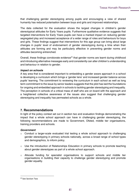that challenging gender stereotyping among pupils and encouraging a view of shared humanity has reduced polarisation between boys and girls and improved relationships.

The data collected for the evaluation shows the largest changes in children's gender stereotypical attitudes for Early Years pupils. Furthermore qualitative evidence suggests that targeted interventions for Early Years pupils can have a marked impact on reducing gender segregated play and increased acceptance of a wider range of roles and behaviours for boys and girls. These findings suggest that interventions for this age group can bring about large changes in pupils' level of endorsement of gender stereotyping during a time when their attitudes are forming and may be particularly effective in preventing gender norms and attitudes becoming entrenched.

Overall, these findings corroborate evidence<sup>44</sup> that gender norms are learnt during childhood and introducing alternative messages early and consistently can alter children's understanding and behaviour in relation to gender.

## Impact on schools

A key area that is considered important to embedding a gender aware approach in a school is developing a curriculum which brings a 'gender lens' and increased gender balance across pupils' learning. The commitment to reviewing the curriculum in each school as well as long term commitment to the issue by senior leaders suggests that the pilot has laid the foundations for ongoing and embedded approach in schools to tackling gender stereotyping and inequality. The perception in schools of a critical mass of staff who are on board with the approach and a heightened collective awareness of the issues also suggest that challenging gender stereotyping and inequality has permeated schools as a whole.

# 7. Recommendations

In light of the policy context set out in section two and evaluation findings demonstrating the impact that a whole school approach can have in challenging gender stereotyping, the following recommendations are made to Government, Ofsted, middle tier organisations, training providers and schools.

# Government

- o Conduct a larger-scale evaluated trial testing a whole school approach to challenging gender stereotyping in primary schools nationally, across a broad range of school types and demographics, to inform policy.
- $\circ$  Use the introduction of Relationships Education in primary schools to promote teaching about gender stereotypes as part of a whole school approach.
- $\circ$  Allocate funding for specialist organisations to support schools and middle tier organisations in building their capacity to challenge gender stereotyping and promote gender equality.

 <sup>44</sup> See Section Two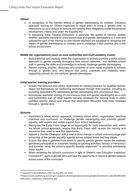#### **Ofsted**

- In recognition of the harmful effects of gender stereotyping on children, introduce specialist training for Ofsted inspectors to equip them to bring a 'gender lens' to inspections so as to ensure all schools are meeting their obligations under the personal development criteria and under the Equality Act.
- In assessing Initial Teacher Education, in particular the quality of training, assess whether specialist training on unconscious bias and gender stereotyping is a core and substantive part of the training so that trainee teachers are equipped to recognise the impact of gender stereotyping on children and to challenge it their practice and in the school environment.

#### Middle tier organisations (such as local authorities and multi-academy trusts)

- Build expertise and capacity within the organisation to actively promote a whole school approach to gender equality throughout their school networks, and facilitate school staff in gaining the skills and knowledge to actively challenge gender stereotyping.
- Review training, policies, resources and schemes of work made available to schools through a 'gender lens' and ensure that policy, practices and materials when supporting schools do not reinforce gender stereotypes.

#### Initial teacher training providers

- Ensure that lecturers and others responsible for training teachers for qualified teacher status are themselves not reinforcing stereotypes through their practice, including by providing specialist CPD addressing gender stereotyping and unconscious bias.
- Incorporate specialist training on unconscious bias and gender stereotyping as a core and substantive part of initial teacher training (whatever the training route to attain qualified teacher status) and ensure that associated resources have been reviewed through a 'gender lens'.

## **Schools**

- Implement a whole school approach, covering school ethos, organisation, teaching practices and curriculum, to challenge gender stereotyping and promote gender equality, with explicit and visible support from school leadership.
- Recognise the Early Years stage as an opportunity for early intervention and, within the whole school approach, ensure that Early Years staff receive the training and resources they need to take this opportunity.
- Appoint a Gender Champion with a brief to drive change in school and encourage staff ownership of the gender equality agenda across subject areas and key stages.
- Ensure that data is gathered from which to identify specific gender issues (for example gendered participation or outcomes relating to sporting activities, literacy or behaviour) and consider using the school's specific equality objectives<sup>45</sup> to prioritise addressing these issues.
- When reviewing the school's curriculum in light of Ofsted's new Education Inspection Framework<sup>46</sup>, apply a gender lens and take the opportunity to improve gender balance across areas of the curriculum.

<sup>&</sup>lt;sup>45</sup> required to be published under the Equality Act 2010

<sup>46</sup>https://assets.publishing.service.gov.uk/government/uploads/system/uploads/attachment\_data/file/801429 /Education\_inspection\_framework.pdf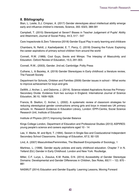# 8. Bibliography

Bian, L. Leslie, S.J. Cimpian, A. (2017) Gender stereotypes about intellectual ability emerge early and influence children's interests, Science, 355: 6323, 389-391

Campbell, T. (2015) Stereotyped at Seven? Biases in Teacher Judgement of Pupils' Ability and Attainment, Journal of Social Policy, 44:3, 517 - 547

Care Inspectorate & Zero Tolerance (2018) Gender Equal Play in early learning and childcare

Chambers, N. Rehill, J. Kashefpakdel, E. T. Percy, C. (2018) Drawing the Future: Exploring the career aspirations of primary school children from around the world

Connell, R.W. (1989). Cool Guys, Swots and Wimps: The Interplay of Masculinity and Education. Oxford Review of Education, 15:3, 291-303.

Connell, R.W., (2003), Gender. 2nd ed, Cambridge: Polity Press

Culhane, L. & Bazeley, A. (2019) Gender Stereotypes in Early childhood: a literature review, The Fawcett Society

Department for Schools, Children and Families (2009) Gender issues in school – What works to improve achievement for boys and girls

DeWitt, J. Archer, L. and Osborne, J. (2014). Science-related Aspirations Across the Primary-Secondary Divide: Evidence from two surveys in England. International Journal of Science Education, 36:10, 1609-1629.

Francis, B. Skelton, C. Archer, L. (2002). A systematic review of classroom strategies for reducing stereotypical gender constructions among girls and boys in mixed-sex UK primary schools. In: Research Evidence in Education Library, London: EPPI-Centre, Social Science Research Unit, Institute of Education

Institute of Physics (2017) Improving Gender Balance

Kings College London, Department of Education and Professional Studies (2013) ASPIRES: young people's science and careers aspirations aged 10 - 14

Lee, V. Marks, M. and Byrd, T. (1994). Sexism in Single-Sex and Coeducational Independent Secondary School Classrooms. Sociology of Education, 67:2, 92-120

Lind, A. (2007) Masculinities/Femininities, The Blackwell Encyclopedia of Sociology, 1

Martinez, L. (1998). Gender equity policies and early childhood education. Chapter 7 in N. Yelland (Ed.) Gender in Early Childhood. London and New York: Routledge.

Miller, C.F. Lurye, L. Zosulus, K.M. Ruble, D.N. (2014) Accessibility of Gender Stereotype Domains: Developmental and Gender Differences in Children, Sex Roles, 60(11 – 12): 870 - 881

NASWUT (2014) Education and Gender Equality: Learning Lessons, Moving Forward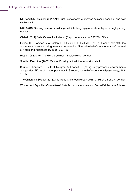NEU and UK Feminista (2017) "It's Just Everywhere": A study on sexism in schools - and how we tackle it

NUT (2013) Stereotypes stop you doing stuff: Challenging gender stereotypes through primary education

Ofsted (2011) Girls' Career Aspirations. (Report reference no: 090239). Ofsted.

Reyes, H.L. Forshee, V.A. Niolon, P.H. Reidy, D.E. Hall, J.E. (2016), 'Gender role attitudes and male adolescent dating violence perpetration: Normative beliefs as moderators', Journal of Youth and Adolescence, 45(2): 350 - 60

Rippon, G. (2019), The Gendered Brain, Bodley Head: London

Scottish Executive (2007) Gender Equality: a toolkit for education staff

Shutts, K. Kenward, B. Falk, H. Ivergran, A. Fawcett, C. (2017) Early preschool environments and gender: Effects of gender pedagogy in Sweden, Journal of experimental psychology, 162:  $1 - 17$ 

The Children's Society (2018)¸The Good Childhood Report 2018, Children's Society: London

Women and Equalities Committee (2016) Sexual Harassment and Sexual Violence in Schools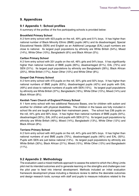# 9. Appendices

# 9.1 Appendix 1: School profiles

A summary of the profiles of the five participating schools is provided below:

# Brookfield Primary School

A 2 form entry school with 423 pupils on the roll, 49% girls and 51% boys. It has higher than national number of Black Minority Ethnic (BME) pupils (46%) and its disadvantaged, Special Educational Needs (SEN) and English as an Additional Language (EAL) pupil numbers are close to national. Its largest pupil populations by ethnicity are White British (54%), Mixed (14%), White Other (10%), Bangladeshi (6%) and Black African (5%).

# Carlton Primary School

A 2 form entry school with 331 pupils on the roll, 46% girls and 54% boys. It has significantly higher than national numbers of BME pupils (83%), disadvantaged (61%), EAL (75%) and SEN (31%). Its largest pupil populations by ethnicity are Bangladeshi (26%), Black African (25%), White British (17%), Asian Other (10%) and White Other (8%).

# Gospel Oak Primary School

A 2 form entry school with 470 pupils on the roll, 50% girls and 50% boys. It has higher than national numbers of BME pupils (63%), disadvantaged pupils (42%) and pupils with EAL (49%) and close to national numbers of pupils with SEN (15%). Its largest pupil populations by ethnicity are White British (37%), Bangladeshi (16%), White Other (15%), Mixed (14%) and Black African (8%).

# Kentish Town Church of England Primary School

A 1 form entry school with two additional Resource Bases, one for children with autism and another for children with physical disabilities. The children in the bases are fully included in school life and are taught alongside their mainstream peers. The school has 236 pupils on the roll, 44% girls and 56% boys. It has higher than national numbers of BME pupils (54%), disadvantaged (35%), EAL (43%) and pupils with SEN (21%). Its largest pupil populations by ethnicity are White British (46%), Mixed (14%), Bangladeshi (13%), White Other (12%) and Black African (8%).

# Torriano Primary School

A 2 form entry school with 443 pupils on the roll, 44% girls and 56% boys. It has higher than national numbers of and BME pupils (70%), disadvantaged pupils (46%) and EAL (50%). Pupils with SEN are just below national (13%). Its largest pupil populations by ethnicity are White British (30%), Black African (21%), Mixed (15%), White Other (13%) and Bangladeshi  $(11\%)$ .

# 9.2 Appendix 2: Methodology

The evaluation used a mixed methods approach to assess the extent to which the Lifting Limits pilot met its intended outcomes and to generate learning on the strengths and challenges over the pilot year to feed into internal development. Methods included an initial evaluation framework development phase including a literature review to define the desirable outcomes and design research tools; surveys with staff and pupils to measure indicators related to the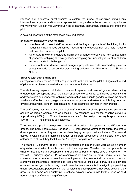intended pilot outcomes; questionnaires to explore the impact of particular Lifting Limits interventions; a gender audit to track representation of gender in the schools; and qualitative interviews with five staff mid-way through the pilot and 23 staff and 20 pupils at the end of the pilot.

A detailed description of the methods is provided below:

# Evaluation framework development

- Interviews with project staff to understand the key components of the Lifting Limits model, its aims, intended outcomes - resulting in the development of a logic model to test over the course of the pilot
- A literature review to understand definitions of gender stereotyping, key components of gender stereotyping, the way gender stereotyping and inequality is learnt by children and what works in challenging it
- Survey tools were devised based on age appropriate methods, informed by previous survey methods to test gender stereotyping endorsement (Bian et al 2017, Shutts et al 2017)

# Surveys with staff and pupils

Surveys were administered to staff and pupils before the start of the pilot and again at the end of pilot to track distance travelled across a number of indicators.

The staff survey explored attitudes in relation to gender and level of gender stereotyping endorsement, perceptions about the extent of gender stereotyping, confidence to identify and address sexism and gender stereotyping; and practice in relation to gender (such as the extent to which staff reflect on language use in relation to gender and extent to which they consider diverse and atypical gender representations in the examples they use in their practice).

The staff survey was made available to all staff members at all five participating schools to achieve as large a sample size as possible. The response rate for the baseline survey is approximately 63% ( $n = 170$ ) and the response rate for the post pilot survey is approximately  $40\%$  (n = 107). The sample is self-selected.

Three separate pupils' surveys were developed in order to be appropriate to different age groups. The Early Years survey (for ages 3 - 5) included two activities for pupils: the first to draw a picture of what they want to be when they grow up to test aspirations. The second activity involved pupils organising images of different occupations and objects into three categories to show if they think they are 'for boys', 'for girls' or 'for everyone'.

The years  $1 - 2$  surveys (ages  $5 - 7$ ) were completed on paper. Pupils were asked a number of questions and asked to circle or colour in their response. Questions focused primarily on whether they see certain occupations and objects as being for girls, boys or everyone. The years 3 – 6 surveys (ages 7 - 11) were completed by pupils online using Google Forms. The survey included a number of questions including extent of agreement with a number of gender stereotypical statements, questions to test unconscious links pupils may make between occupations and gender by asking them to select a name from a list to assign to people doing different occupations, perceptions of the job roles that pupils perceive they could do when they grow up, and some open qualitative questions exploring what pupils think is good or hard about being a boy/man and a girl/woman.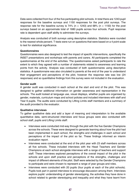Data were collected from four of the five participating pilot schools. In total there are 1243 pupil responses for the baseline surveys and 1150 responses for the post pilot surveys. The response rate for the baseline survey is 74% ( $n = 1243$ ) and 68% ( $n = 1150$ ) for the post surveys based on an approximate total of 1680 pupils across four schools. Pupil response rate is dependent upon staff ability to administer the surveys.

Analysis was conducted of both surveys using descriptive statistics. Statistics were rounded to the nearest whole percent. T-tests were run on questions that were based on a 4 point scale to test for statistical significance.

## Questionnaires

Questionnaires were also designed to test the impact of specific interventions, specifically the INSET presentations and workshops with parents and carers. All participants completed the questionnaires at the end of the activities. The questionnaires asked participants to rate the extent to which they agreed with a number of statements related to awareness and learning points from the activity. Analysis was conducted of both questionnaires using descriptive statistics. A questionnaire was also circulated to parents at the end of the year to understand their engagement and perceptions of the pilot, however the response rate was low (24 responses) and so quantitative findings from this survey were not included in the evaluation.

# Gender audit

A gender audit was conducted in each school at the start and end of the pilot. This was designed to gather additional information on gender awareness and representation in the schools. The audit looked at language use, visual displays, whether pupils are organised by gender, materials, curriculum maps and school policies and included interviews with staff and Year 6 pupils. The audits were conducted by Lifting Limits staff members and a summary of the audit provided to the evaluator.

# Qualitative interviews

To gather qualitative data and add a layer of meaning and interpretation to the available quantitative data, semi-structured interviews and focus groups were also conducted with school staff, pupils and Lifting Limits staff:

- Interviews were conducted mid-way through the pilot with the five Gender Champions across the schools. These were designed to generate learning about how the pilot had been implemented in each school, the strengths and challenges in each school and perceptions of the impact of the pilot so far. These findings informed an interim evaluation report.
- Interviews were conducted at the end of the pilot year with 23 staff members across all five schools. These included interviews with the Head Teachers and Gender Champions at each school alongside interviews with a range of teachers and support staff. These interviews explored perceptions of the overall impact of the pilot in the schools and upon staff practice and perceptions of the strengths, challenges and impact of different elements of the pilot. Staff were selected by the Gender Champions to participate and were chosen to represent a range of year groups and roles.
- Interviews were conducted with 20 pupils (four pupils at each of the pilot schools). Pupils took part in paired interviews to encourage discussion among them. Interviews explore pupils' understanding of gender stereotyping, the activities they have done in school related to gender stereotyping and inequality and what they have learnt from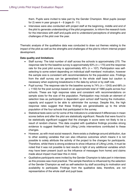them. Pupils were invited to take part by the Gender Champion. Most pupils (except for 2) were in year groups  $4 - 6$  (ages  $8 - 11$ ).

 Interviews were also conducted with project staff at the beginning, middle and end of the pilot to generate understanding of the pilot progression, to inform the research tools for the interviews with staff and pupils and to understand perceptions of strengths and challenges of the pilot over the year.

Thematic analysis of the qualitative data was conducted to draw out themes relating to the impact of the pilot as well as the strengths and challenges of the pilot to inform internal project development.

# Data quality and limitations

- Staff survey: The total number of staff across the schools is approximately 270. The response rate for the baseline survey is approximately  $63\%$  (n = 170) and the response rate for the post pilot survey is approximately  $40\%$  (n = 107). Participation was selfselecting to some extent depending on individual staff members' motivation, however the sample size is consistent with recommendations for the population size. Findings from the staff survey can be generalised to the whole staff base but caution is necessary when exploring breakdowns in the data by school or by staff role.
- Pupil survey: The response rate for the baseline survey is 74% (n = 1243) and 68% (n = 1150) for the post surveys based on an approximate total of 1680 pupils across four schools. These are high response rates and consistent with recommendations on sample sizes for the size of the population. Participation may include an element of selection bias as participation is dependent upon school staff having the motivation, capacity and support to be able to administer the surveys. Despite this, the high response rates suggest that these findings are generalisable up to the whole population of the four schools that participated in the survey.
- Statistical tests were run for some of the indicators to understand if differences in mean scores before and after the pilot are statistically significant. Results that were found to be statistically significant suggest that the changes in score were not likely to be a result of random chance. This data coupled with qualitative findings provides strong evidence to suggest likelihood that Lifting Limits interventions contributed to these changes.
- However, as with most social research, there exists a challenge around attribution, due to other existing variables that can also influence outcomes which means it is not possible to solely attribute the activity of the project to the changes for participants. Therefore, whilst there is strong evidence to show influence of Lifting Limits, it must be noted that it was not possible to test results in light of any additional variables which may have been present (such as the influence of messages from home) and claims made about impact must bear this in mind.
- Qualitative participants were invited by the Gender Champion to take part in interviews as this process was most practical. The sample therefore is influenced by the selection of the Gender Champion as well as self-selection by staff according to motivation and availability to participate. Findings from the qualitative data, therefore, are not representative of the whole staff and pupil base.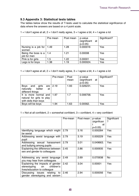# 9.3 Appendix 3: Statistical tests tables

The tables below show the results of T-tests used to calculate the statistical significance of data where the answers are based on a 4 point scale.

|                                    | Pre mean | Post mean | p-value<br>(significant<br>at<br>p < 0.05 | Significant? |
|------------------------------------|----------|-----------|-------------------------------------------|--------------|
| Nursing is a job for<br>women      | 1.49     | 1.28      | 0.000016                                  | Yes          |
| Being the boss is a<br>job for men | 1.4      | 1.21      | 0.00008                                   | Yes          |
| Pink is for girls                  | 1.5      | 1.22      | 0.00001                                   | Yes          |
| Lego is for boys                   | 1.38     | 1.19      | 0.000024.                                 | Yes          |

 $1 = 1$  don't agree at all,  $2 = 1$  don't really agree,  $3 = 1$  agree a bit,  $4 = 1$  agree a lot

 $1 = 1$  don't agree at all,  $2 = 1$  don't really agree,  $3 = 1$  agree a bit,  $4 = 1$  agree a lot

|                                                                            | Pre-mean | Post<br>mean | p-value<br>(significant<br>at<br>p < 0.05 | Significant? |
|----------------------------------------------------------------------------|----------|--------------|-------------------------------------------|--------------|
| Boys<br>and girls<br>are<br>naturally<br>better<br>at<br>different things  | 2.19     | 1.93         | 0.026231.                                 | Yes          |
| It is more normal and<br>natural for girls to play<br>with dolls than boys | 1.97     | 1.7          | 0.006758.                                 | Yes          |
| Boys will be boys                                                          | 1.94     | 1.63         | 0.00562.                                  | Yes          |

## $1 = Not$  at all confident,  $2 = somewhat$  confident,  $3 = confident$ ,  $4 = very$  confident

|                                                                                                      | Pre-mean | Post mean | p-value<br>(significan<br>at<br>p<0.05 | Significant<br>? |
|------------------------------------------------------------------------------------------------------|----------|-----------|----------------------------------------|------------------|
| Identifying language which might<br>be sexist                                                        | 2.79     | 3.16      | 0.000284                               | Yes              |
| Addressing sexist language with<br>pupil                                                             | 2.79     | 3.19      | 0.000229                               | Yes              |
| Addressing sexual harassment<br>and bullying among pupils                                            | 2.79     | 3.01      | 0.049663.                              | Yes              |
| Explaining the difference between<br>sex and gender to colleagues                                    | 2.45     | 2.86      | 0.000935                               | Yes              |
| Addressing any sexist language<br>you may hear from colleagues                                       | 2.49     | 2.69      | 0.070938                               | No.              |
| Explaining the impacts of gender<br>children's<br>stereotyping<br>on<br>lives/education to colleague | 2.42     | 3.04      | 0.00001                                | Yes              |
| Discussing issues relating<br>to<br>gender stereotyping and sexism                                   | 2.46     | 2.94      | 0.000056                               | Yes              |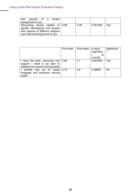Lifting Limits Pilot Impact Evaluation Report

| with<br>parents of a similar<br>background to you                                                                                             |      |          |     |
|-----------------------------------------------------------------------------------------------------------------------------------------------|------|----------|-----|
| Discussing issues related to 2.08<br>gender stereotyping and sexism<br>with parents of different religious<br>and cultural backgrounds to you | 2.49 | 0.001242 | Yes |

|                                                                                                         | Pre-mean | Post mean | p-value<br>(significan<br>at<br>p < 0.05 | Significant<br>? |
|---------------------------------------------------------------------------------------------------------|----------|-----------|------------------------------------------|------------------|
| I have the tools, resources and 2.85<br>support I need to be able to<br>address any sexism among pupils |          | 3.1       | 0.001949                                 | Yes              |
| 1 actively look out for sexist 2.75<br>language and behaviour among<br>pupils                           |          | 2.9       | 0.08825                                  | No               |